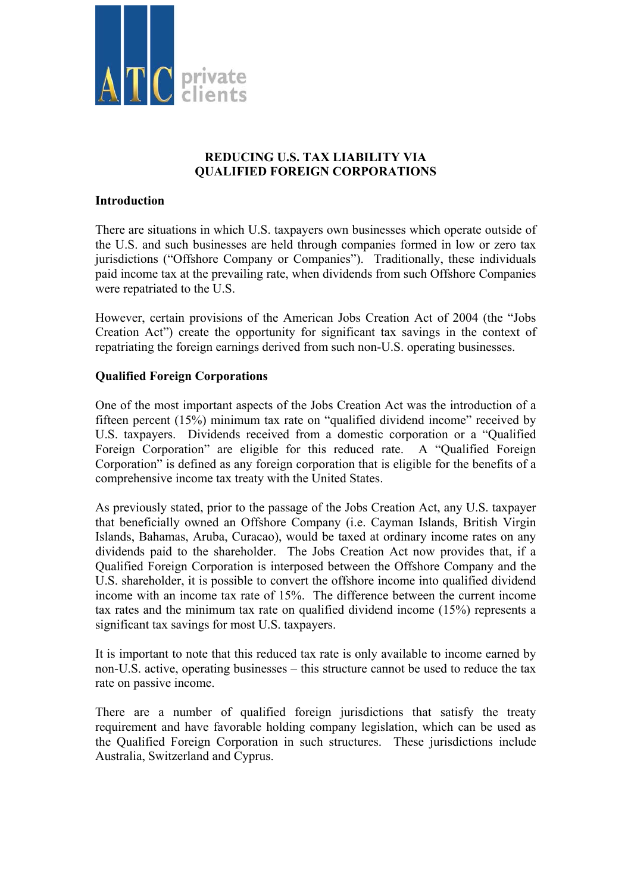

# **REDUCING U.S. TAX LIABILITY VIA QUALIFIED FOREIGN CORPORATIONS**

### **Introduction**

There are situations in which U.S. taxpayers own businesses which operate outside of the U.S. and such businesses are held through companies formed in low or zero tax jurisdictions ("Offshore Company or Companies"). Traditionally, these individuals paid income tax at the prevailing rate, when dividends from such Offshore Companies were repatriated to the U.S.

However, certain provisions of the American Jobs Creation Act of 2004 (the "Jobs Creation Act") create the opportunity for significant tax savings in the context of repatriating the foreign earnings derived from such non-U.S. operating businesses.

## **Qualified Foreign Corporations**

One of the most important aspects of the Jobs Creation Act was the introduction of a fifteen percent (15%) minimum tax rate on "qualified dividend income" received by U.S. taxpayers. Dividends received from a domestic corporation or a "Qualified Foreign Corporation" are eligible for this reduced rate. A "Qualified Foreign Corporation" is defined as any foreign corporation that is eligible for the benefits of a comprehensive income tax treaty with the United States.

As previously stated, prior to the passage of the Jobs Creation Act, any U.S. taxpayer that beneficially owned an Offshore Company (i.e. Cayman Islands, British Virgin Islands, Bahamas, Aruba, Curacao), would be taxed at ordinary income rates on any dividends paid to the shareholder. The Jobs Creation Act now provides that, if a Qualified Foreign Corporation is interposed between the Offshore Company and the U.S. shareholder, it is possible to convert the offshore income into qualified dividend income with an income tax rate of 15%. The difference between the current income tax rates and the minimum tax rate on qualified dividend income (15%) represents a significant tax savings for most U.S. taxpayers.

It is important to note that this reduced tax rate is only available to income earned by non-U.S. active, operating businesses – this structure cannot be used to reduce the tax rate on passive income.

There are a number of qualified foreign jurisdictions that satisfy the treaty requirement and have favorable holding company legislation, which can be used as the Qualified Foreign Corporation in such structures. These jurisdictions include Australia, Switzerland and Cyprus.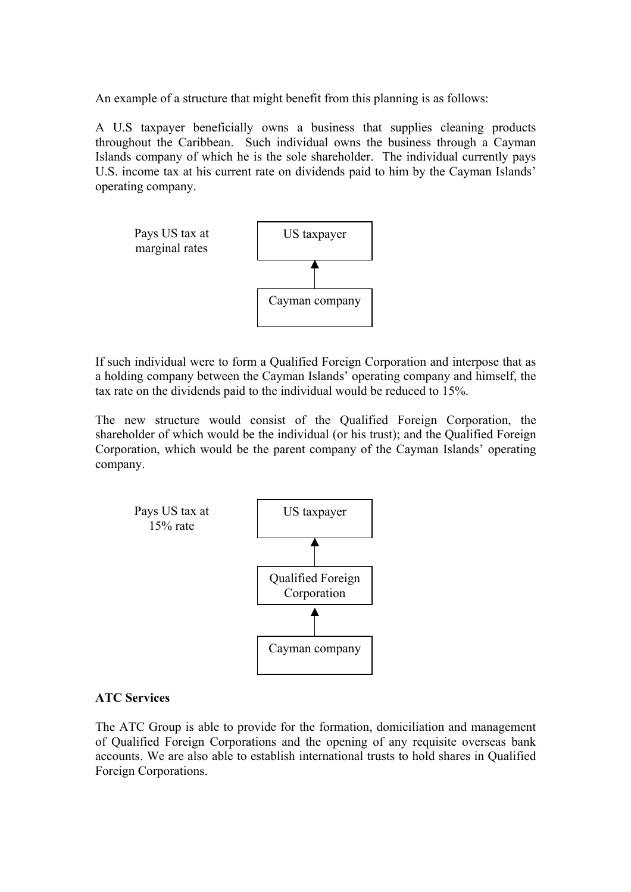An example of a structure that might benefit from this planning is as follows:

A U.S taxpayer beneficially owns a business that supplies cleaning products throughout the Caribbean. Such individual owns the business through a Cayman Islands company of which he is the sole shareholder. The individual currently pays U.S. income tax at his current rate on dividends paid to him by the Cayman Islands' operating company.



If such individual were to form a Qualified Foreign Corporation and interpose that as a holding company between the Cayman Islands' operating company and himself, the tax rate on the dividends paid to the individual would be reduced to 15%.

The new structure would consist of the Qualified Foreign Corporation, the shareholder of which would be the individual (or his trust); and the Qualified Foreign Corporation, which would be the parent company of the Cayman Islands' operating company.



#### **ATC Services**

The ATC Group is able to provide for the formation, domiciliation and management of Qualified Foreign Corporations and the opening of any requisite overseas bank accounts. We are also able to establish international trusts to hold shares in Qualified Foreign Corporations.